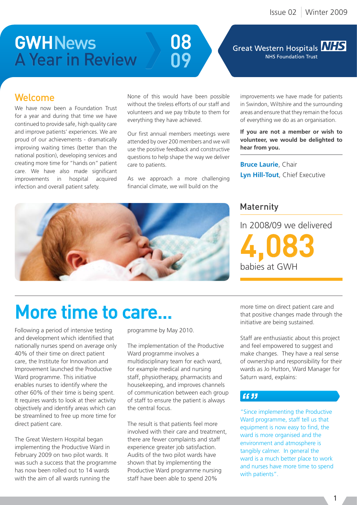## **GWHNews** A Year in Review



#### Great Western Hospitals **NHS** NHS Foundation Trust

## Welcome

We have now been a Foundation Trust for a year and during that time we have continued to provide safe, high quality care and improve patients' experiences. We are proud of our achievements - dramatically improving waiting times (better than the national position), developing services and creating more time for "hands on" patient care. We have also made significant improvements in hospital acquired infection and overall patient safety.

None of this would have been possible without the tireless efforts of our staff and volunteers and we pay tribute to them for everything they have achieved.

Our first annual members meetings were attended by over 200 members and we will use the positive feedback and constructive questions to help shape the way we deliver care to patients.

As we approach a more challenging financial climate, we will build on the

improvements we have made for patients in Swindon, Wiltshire and the surrounding areas and ensure that they remain the focus of everything we do as an organisation.

**If you are not a member or wish to volunteer, we would be delighted to hear from you.**

**Bruce Laurie**, Chair **Lyn Hill-Tout**, Chief Executive

### Maternity

In 2008/09 we delivered 4,083 babies at GWH



## More time to care...

Following a period of intensive testing and development which identified that nationally nurses spend on average only 40% of their time on direct patient care, the Institute for Innovation and Improvement launched the Productive Ward programme. This initiative enables nurses to identify where the other 60% of their time is being spent. It requires wards to look at their activity objectively and identify areas which can be streamlined to free up more time for direct patient care.

The Great Western Hospital began implementing the Productive Ward in February 2009 on two pilot wards. It was such a success that the programme has now been rolled out to 14 wards with the aim of all wards running the

programme by May 2010.

The implementation of the Productive Ward programme involves a multidisciplinary team for each ward, for example medical and nursing staff, physiotherapy, pharmacists and housekeeping, and improves channels of communication between each group of staff to ensure the patient is always the central focus.

The result is that patients feel more involved with their care and treatment, there are fewer complaints and staff experience greater job satisfaction. Audits of the two pilot wards have shown that by implementing the Productive Ward programme nursing staff have been able to spend 20%

more time on direct patient care and that positive changes made through the initiative are being sustained.

Staff are enthusiastic about this project and feel empowered to suggest and make changes. They have a real sense of ownership and responsibility for their wards as Jo Hutton, Ward Manager for Saturn ward, explains:

### $66JJ$

"Since implementing the Productive Ward programme, staff tell us that equipment is now easy to find, the ward is more organised and the environment and atmosphere is tangibly calmer. In general the ward is a much better place to work and nurses have more time to spend with patients".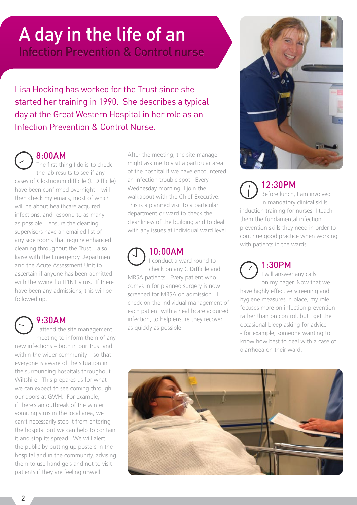# A day in the life of an

Infection Prevention & Control nurse

Lisa Hocking has worked for the Trust since she started her training in 1990. She describes a typical day at the Great Western Hospital in her role as an Infection Prevention & Control Nurse.

8:00AM The first thing I do is to check the lab results to see if any cases of Clostridium difficile (C Difficile) have been confirmed overnight. I will then check my emails, most of which will be about healthcare acquired infections, and respond to as many as possible. I ensure the cleaning supervisors have an emailed list of any side rooms that require enhanced cleaning throughout the Trust. I also liaise with the Emergency Department and the Acute Assessment Unit to ascertain if anyone has been admitted with the swine flu H1N1 virus. If there have been any admissions, this will be followed up.

9:30AM I attend the site management meeting to inform them of any new infections – both in our Trust and within the wider community – so that everyone is aware of the situation in the surrounding hospitals throughout Wiltshire. This prepares us for what we can expect to see coming through our doors at GWH. For example, if there's an outbreak of the winter vomiting virus in the local area, we can't necessarily stop it from entering the hospital but we can help to contain it and stop its spread. We will alert the public by putting up posters in the hospital and in the community, advising them to use hand gels and not to visit patients if they are feeling unwell.

After the meeting, the site manager might ask me to visit a particular area of the hospital if we have encountered an infection trouble spot. Every Wednesday morning, I join the walkabout with the Chief Executive. This is a planned visit to a particular department or ward to check the cleanliness of the building and to deal with any issues at individual ward level.



### 10:00AM

I conduct a ward round to check on any C Difficile and MRSA patients. Every patient who comes in for planned surgery is now screened for MRSA on admission. I check on the individual management of each patient with a healthcare acquired infection, to help ensure they recover as quickly as possible.



12:30PM Before lunch, I am involved in mandatory clinical skills induction training for nurses. I teach them the fundamental infection prevention skills they need in order to continue good practice when working with patients in the wards.

1:30PM I will answer any calls on my pager. Now that we have highly effective screening and hygiene measures in place, my role focuses more on infection prevention rather than on control, but I get the occasional bleep asking for advice - for example, someone wanting to know how best to deal with a case of diarrhoea on their ward.

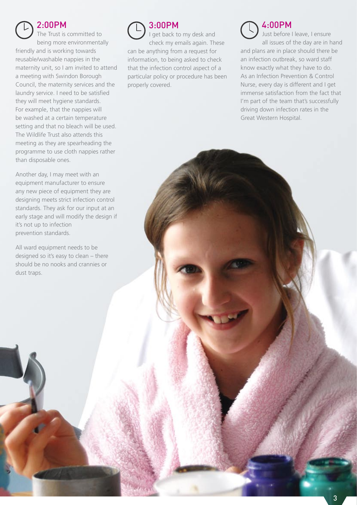#### 2:00PM

The Trust is committed to being more environmentally friendly and is working towards reusable/washable nappies in the maternity unit, so I am invited to attend a meeting with Swindon Borough Council, the maternity services and the laundry service. I need to be satisfied they will meet hygiene standards. For example, that the nappies will be washed at a certain temperature setting and that no bleach will be used. The Wildlife Trust also attends this meeting as they are spearheading the programme to use cloth nappies rather than disposable ones.

Another day, I may meet with an equipment manufacturer to ensure any new piece of equipment they are designing meets strict infection control standards. They ask for our input at an early stage and will modify the design if it's not up to infection prevention standards.

All ward equipment needs to be designed so it's easy to clean – there should be no nooks and crannies or dust traps.

3:00PM I get back to my desk and check my emails again. These can be anything from a request for information, to being asked to check that the infection control aspect of a particular policy or procedure has been properly covered.

### 4:00PM

Just before I leave, I ensure all issues of the day are in hand and plans are in place should there be an infection outbreak, so ward staff know exactly what they have to do. As an Infection Prevention & Control Nurse, every day is different and I get immense satisfaction from the fact that I'm part of the team that's successfully driving down infection rates in the Great Western Hospital.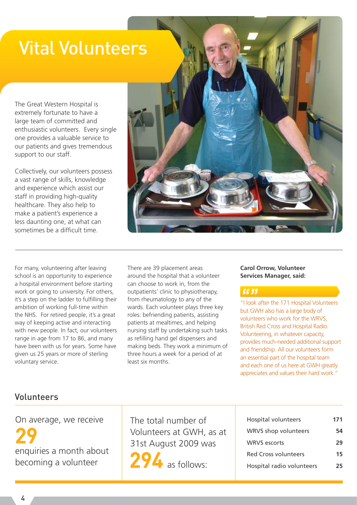## Vital Volunteers

The Great Western Hospital is extremely fortunate to have a large team of committed and enthusiastic volunteers. Every single one provides a valuable service to our patients and gives tremendous support to our staff.

Collectively, our volunteers possess a vast range of skills, knowledge and experience which assist our staff in providing high-quality healthcare. They also help to make a patient's experience a less daunting one, at what can sometimes be a difficult time.

For many, volunteering after leaving school is an opportunity to experience a hospital environment before starting work or going to university. For others, it's a step on the ladder to fulfilling their ambition of working full-time within the NHS. For retired people, it's a great way of keeping active and interacting with new people. In fact, our volunteers range in age from 17 to 86, and many have been with us for years. Some have given us 25 years or more of sterling voluntary service.

There are 39 placement areas around the hospital that a volunteer can choose to work in, from the outpatients' clinic to physiotherapy, from rheumatology to any of the wards. Each volunteer plays three key roles: befriending patients, assisting patients at mealtimes, and helping nursing staff by undertaking such tasks as refilling hand gel dispensers and making beds. They work a minimum of three hours a week for a period of at least six months.

#### **Carol Orrow, Volunteer Services Manager, said:**

#### 66 33

"I look after the 171 Hospital Volunteers but GWH also has a large body of volunteers who work for the WRVS, British Red Cross and Hospital Radio. Volunteering, in whatever capacity, provides much-needed additional support and friendship. All our volunteers form an essential part of the hospital team and each one of us here at GWH greatly appreciates and values their hard work."

### Volunteers

On average, we receive 29 enquiries a month about becoming a volunteer

The total number of Volunteers at GWH, as at 31st August 2009 was

294 as follows:

| Hospital volunteers         | 171 |
|-----------------------------|-----|
| WRVS shop volunteers        | 54  |
| <b>WRVS</b> escorts         | 29  |
| <b>Red Cross volunteers</b> | 15  |
| Hospital radio volunteers   | 25  |

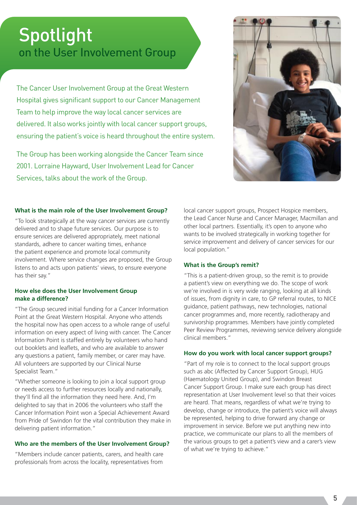## on the User Involvement Group **Spotlight**

The Cancer User Involvement Group at the Great Western Hospital gives significant support to our Cancer Management Team to help improve the way local cancer services are delivered. It also works jointly with local cancer support groups, ensuring the patient's voice is heard throughout the entire system.

The Group has been working alongside the Cancer Team since 2001. Lorraine Hayward, User Involvement Lead for Cancer Services, talks about the work of the Group.



#### **What is the main role of the User Involvement Group?**

"To look strategically at the way cancer services are currently delivered and to shape future services. Our purpose is to ensure services are delivered appropriately, meet national standards, adhere to cancer waiting times, enhance the patient experience and promote local community involvement. Where service changes are proposed, the Group listens to and acts upon patients' views, to ensure everyone has their say."

#### **How else does the User Involvement Group make a difference?**

"The Group secured initial funding for a Cancer Information Point at the Great Western Hospital. Anyone who attends the hospital now has open access to a whole range of useful information on every aspect of living with cancer. The Cancer Information Point is staffed entirely by volunteers who hand out booklets and leaflets, and who are available to answer any questions a patient, family member, or carer may have. All volunteers are supported by our Clinical Nurse Specialist Team."

"Whether someone is looking to join a local support group or needs access to further resources locally and nationally, they'll find all the information they need here. And, I'm delighted to say that in 2006 the volunteers who staff the Cancer Information Point won a Special Achievement Award from Pride of Swindon for the vital contribution they make in delivering patient information."

#### **Who are the members of the User Involvement Group?**

"Members include cancer patients, carers, and health care professionals from across the locality, representatives from

local cancer support groups, Prospect Hospice members, the Lead Cancer Nurse and Cancer Manager, Macmillan and other local partners. Essentially, it's open to anyone who wants to be involved strategically in working together for service improvement and delivery of cancer services for our local population."

#### **What is the Group's remit?**

"This is a patient-driven group, so the remit is to provide a patient's view on everything we do. The scope of work we're involved in is very wide ranging, looking at all kinds of issues, from dignity in care, to GP referral routes, to NICE guidance, patient pathways, new technologies, national cancer programmes and, more recently, radiotherapy and survivorship programmes. Members have jointly completed Peer Review Programmes, reviewing service delivery alongside clinical members."

#### **How do you work with local cancer support groups?**

"Part of my role is to connect to the local support groups such as abc (Affected by Cancer Support Group), HUG (Haematology United Group), and Swindon Breast Cancer Support Group. I make sure each group has direct representation at User Involvement level so that their voices are heard. That means, regardless of what we're trying to develop, change or introduce, the patient's voice will always be represented, helping to drive forward any change or improvement in service. Before we put anything new into practice, we communicate our plans to all the members of the various groups to get a patient's view and a carer's view of what we're trying to achieve."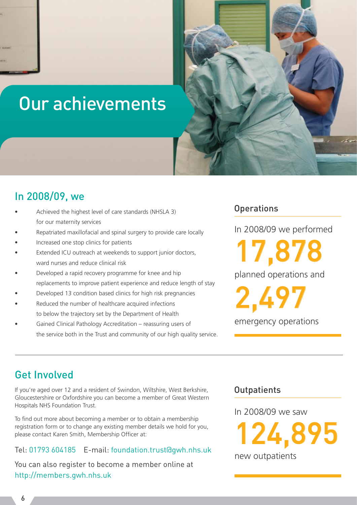## Our achievements



- Achieved the highest level of care standards (NHSLA 3) for our maternity services
- Repatriated maxillofacial and spinal surgery to provide care locally
- Increased one stop clinics for patients
- Extended ICU outreach at weekends to support junior doctors, ward nurses and reduce clinical risk
- Developed a rapid recovery programme for knee and hip replacements to improve patient experience and reduce length of stay
- Developed 13 condition based clinics for high risk pregnancies
- Reduced the number of healthcare acquired infections to below the trajectory set by the Department of Health
- Gained Clinical Pathology Accreditation reassuring users of the service both in the Trust and community of our high quality service.

### **Operations**

In 2008/09 we performed

planned operations and 17,878

2,497

emergency operations

## Get Involved

If you're aged over 12 and a resident of Swindon, Wiltshire, West Berkshire, Gloucestershire or Oxfordshire you can become a member of Great Western Hospitals NHS Foundation Trust.

To find out more about becoming a member or to obtain a membership registration form or to change any existing member details we hold for you, please contact Karen Smith, Membership Officer at:

#### Tel: 01793 604185 E-mail: foundation.trust@gwh.nhs.uk

You can also register to become a member online at http://members.gwh.nhs.uk

### **Outpatients**

In 2008/09 we saw

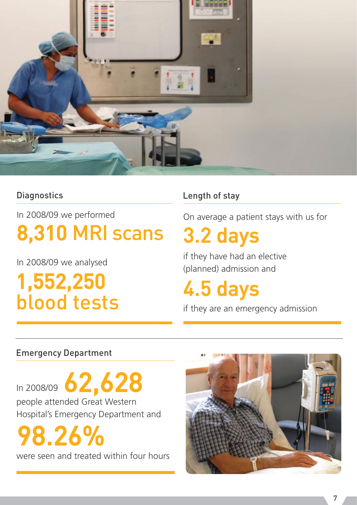

## **Diagnostics**

In 2008/09 we performed

## 8,310 MRI scans

In 2008/09 we analysed

1,552,250 blood tests

## Length of stay

On average a patient stays with us for

## 3.2 days

if they have had an elective (planned) admission and

4.5 days

if they are an emergency admission

## Emergency Department

In 2008/09 62,628 people attended Great Western Hospital's Emergency Department and

98.26%

were seen and treated within four hours